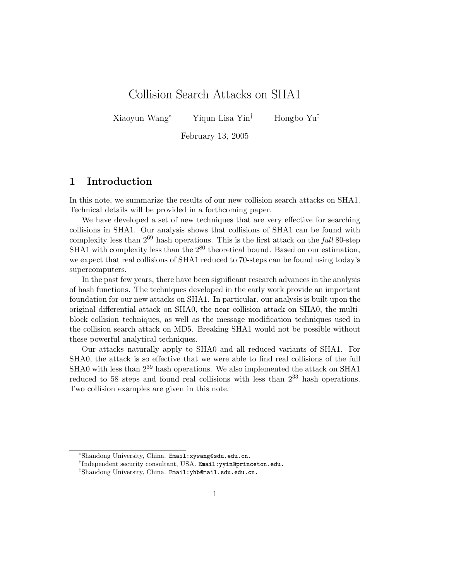## Collision Search Attacks on SHA1

Xiaoyun Wang<sup>∗</sup> Yiqun Lisa Yin† Hongbo Yu‡

February 13, 2005

## **1 Introduction**

In this note, we summarize the results of our new collision search attacks on SHA1. Technical details will be provided in a forthcoming paper.

We have developed a set of new techniques that are very effective for searching collisions in SHA1. Our analysis shows that collisions of SHA1 can be found with complexity less than 2<sup>69</sup> hash operations. This is the first attack on the *full* 80-step SHA1 with complexity less than the  $2^{80}$  theoretical bound. Based on our estimation, we expect that real collisions of SHA1 reduced to 70-steps can be found using today's supercomputers.

In the past few years, there have been significant research advances in the analysis of hash functions. The techniques developed in the early work provide an important foundation for our new attacks on SHA1. In particular, our analysis is built upon the original differential attack on SHA0, the near collision attack on SHA0, the multiblock collision techniques, as well as the message modification techniques used in the collision search attack on MD5. Breaking SHA1 would not be possible without these powerful analytical techniques.

Our attacks naturally apply to SHA0 and all reduced variants of SHA1. For SHA0, the attack is so effective that we were able to find real collisions of the full SHA0 with less than  $2^{39}$  hash operations. We also implemented the attack on SHA1 reduced to 58 steps and found real collisions with less than  $2^{33}$  hash operations. Two collision examples are given in this note.

<sup>∗</sup>Shandong University, China. Email:xywang@sdu.edu.cn.

<sup>†</sup>Independent security consultant, USA. Email:yyin@princeton.edu.

<sup>‡</sup>Shandong University, China. Email:yhb@mail.sdu.edu.cn.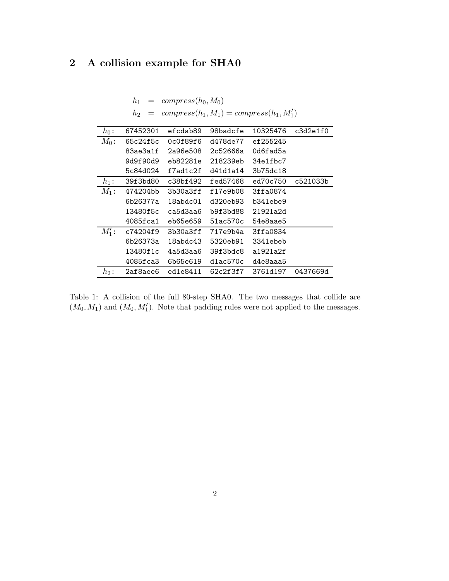## **2 A collision example for SHA0**

 $h_1 = \text{compress}(h_0, M_0)$ 

|          | $compress(h_1, M_1) = compress(h_1, M'_1)$<br>h <sub>2</sub> |                 |          |          |          |  |  |
|----------|--------------------------------------------------------------|-----------------|----------|----------|----------|--|--|
| $h_0$ :  | 67452301                                                     | efcdab89        | 98badcfe | 10325476 | c3d2e1f0 |  |  |
| $M_0$ :  | 65c24f5c                                                     | 0c0f89f6        | d478de77 | ef255245 |          |  |  |
|          | 83ae3a1f                                                     | 2a96e508        | 2c52666a | Od6fad5a |          |  |  |
|          | 9d9f90d9                                                     | eb82281e        | 218239eb | 34e1fbc7 |          |  |  |
|          | 5c84d024                                                     | $f7$ ad $1c2f$  | d41d1a14 | 3b75dc18 |          |  |  |
| $h_1$ :  | 39f3bd80                                                     | c38bf492        | fed57468 | ed70c750 | c521033b |  |  |
| $M_1$ :  | 474204bb                                                     | 3b30a3ff        | f17e9b08 | 3ffa0874 |          |  |  |
|          | 6b26377a                                                     | $18$ abd $c$ 01 | d320eb93 | b341ebe9 |          |  |  |
|          | 13480f5c                                                     | ca5d3aa6        | b9f3bd88 | 21921a2d |          |  |  |
|          | 4085fca1                                                     | eb65e659        | 51ac570c | 54e8aae5 |          |  |  |
| $M_1'$ : | c74204f9                                                     | 3b30a3ff        | 717e9b4a | 3ffa0834 |          |  |  |
|          | 6b26373a                                                     | 18abdc43        | 5320eb91 | 3341ebeb |          |  |  |
|          | 13480f1c                                                     | 4a5d3aa6        | 39f3hdc8 | a1921a2f |          |  |  |
|          | 4085fca3                                                     | 6b65e619        | d1ac570c | d4e8aaa5 |          |  |  |
| $h_2$ :  | 2af8aee6                                                     | ed1e8411        | 62c2f3f7 | 3761d197 | 0437669d |  |  |

Table 1: A collision of the full 80-step SHA0. The two messages that collide are  $(M_0, M_1)$  and  $(M_0, M'_1)$ . Note that padding rules were not applied to the messages.